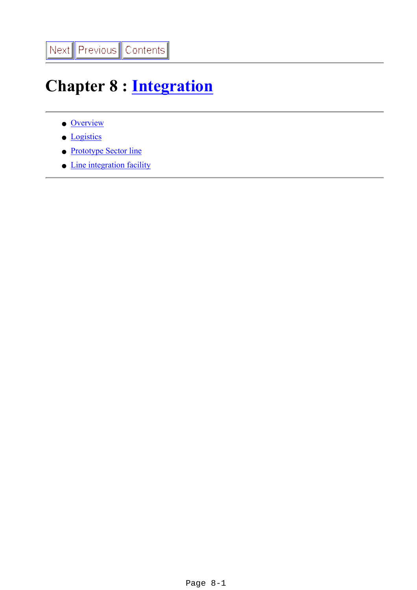# **Chapter 8 : [Integration](file:///Z|/TDR/psfiles/Chap8_Integration.pdf)**

- [Overview](#page-1-0)
- [Logistics](#page-6-0)
- [Prototype Sector line](#page-9-0)
- [Line integration facility](#page-11-0)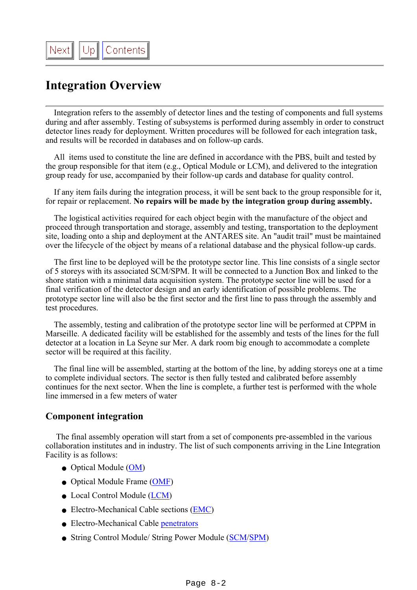# <span id="page-1-0"></span>**Integration Overview**

 Integration refers to the assembly of detector lines and the testing of components and full systems during and after assembly. Testing of subsystems is performed during assembly in order to construct detector lines ready for deployment. Written procedures will be followed for each integration task, and results will be recorded in databases and on follow-up cards.

 All items used to constitute the line are defined in accordance with the PBS, built and tested by the group responsible for that item (e.g., Optical Module or LCM), and delivered to the integration group ready for use, accompanied by their follow-up cards and database for quality control.

 If any item fails during the integration process, it will be sent back to the group responsible for it, for repair or replacement. **No repairs will be made by the integration group during assembly.**

 The logistical activities required for each object begin with the manufacture of the object and proceed through transportation and storage, assembly and testing, transportation to the deployment site, loading onto a ship and deployment at the ANTARES site. An "audit trail" must be maintained over the lifecycle of the object by means of a relational database and the physical follow-up cards.

 The first line to be deployed will be the prototype sector line. This line consists of a single sector of 5 storeys with its associated SCM/SPM. It will be connected to a Junction Box and linked to the shore station with a minimal data acquisition system. The prototype sector line will be used for a final verification of the detector design and an early identification of possible problems. The prototype sector line will also be the first sector and the first line to pass through the assembly and test procedures.

 The assembly, testing and calibration of the prototype sector line will be performed at CPPM in Marseille. A dedicated facility will be established for the assembly and tests of the lines for the full detector at a location in La Seyne sur Mer. A dark room big enough to accommodate a complete sector will be required at this facility.

 The final line will be assembled, starting at the bottom of the line, by adding storeys one at a time to complete individual sectors. The sector is then fully tested and calibrated before assembly continues for the next sector. When the line is complete, a further test is performed with the whole line immersed in a few meters of water

### **Component integration**

 The final assembly operation will start from a set of components pre-assembled in the various collaboration institutes and in industry. The list of such components arriving in the Line Integration Facility is as follows:

- Optical Module ([OM\)](file:///Z|/TDR/Desages/OMobjects.html)
- Optical Module Frame [\(OMF](file:///Z|/TDR/Jaquet/optical_module_frame.html))
- Local Control Module [\(LCM](file:///Z|/TDR/Olivetto/LCMobjects.html))
- Electro-Mechanical Cable sections [\(EMC](file:///Z|/TDR/Mechanics/EMC.html))
- Electro-Mechanical Cable [penetrators](file:///Z|/TDR/Mechanics/EMC.html)
- String Control Module/ String Power Module [\(SCM](file:///Z|/TDR/Olivetto/SCMobjects.html)/[SPM\)](file:///Z|/TDR/Olivetto/SPMobjects.html)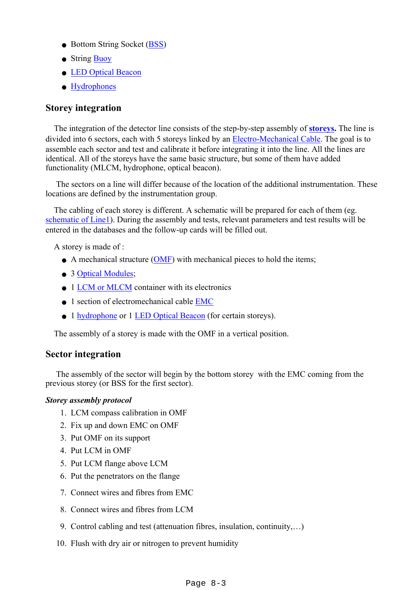- Bottom String Socket [\(BSS](file:///Z|/TDR/Anghinolfi/BSS_TDR.html))
- String [Buoy](file:///Z|/TDR/Jaquet/buoy.htm)
- [LED Optical Beacon](file:///Z|/TDR/Bertin/Lee/Beacon.html)
- [Hydrophones](file:///Z|/TDR/Bertin/Acoustic.html)

## **Storey integration**

 The integration of the detector line consists of the step-by-step assembly of **[storeys.](file:///Z|/TDR/Jaquet/Storeyobjects.html)** The line is divided into 6 sectors, each with 5 storeys linked by an [Electro-Mechanical Cable](file:///Z|/TDR/Mechanics/cables.html). The goal is to assemble each sector and test and calibrate it before integrating it into the line. All the lines are identical. All of the storeys have the same basic structure, but some of them have added functionality (MLCM, hydrophone, optical beacon).

 The sectors on a line will differ because of the location of the additional instrumentation. These locations are defined by the instrumentation group.

 The cabling of each storey is different. A schematic will be prepared for each of them (eg. [schematic of Line1\)](file:///Z|/TDR/Jaquet/synoptic3.pdf). During the assembly and tests, relevant parameters and test results will be entered in the databases and the follow-up cards will be filled out.

A storey is made of :

- A mechanical structure [\(OMF](file:///Z|/TDR/Jaquet/optical_module_frame.html)) with mechanical pieces to hold the items;
- 3 [Optical Modules](file:///Z|/TDR/Desages/OMobjects.html);
- 1 [LCM or MLCM](file:///Z|/TDR/Olivetto/LCMobjects.html) container with its electronics
- 1 section of electromechanical cable EMC
- 1 [hydrophone](file:///Z|/TDR/Bertin/Acoustic_rx.html) or 1 [LED Optical Beacon](file:///Z|/TDR/Bertin/Lee/Beacon.html) (for certain storeys).

The assembly of a storey is made with the OMF in a vertical position.

### **Sector integration**

 The assembly of the sector will begin by the bottom storey with the EMC coming from the previous storey (or BSS for the first sector).

#### *Storey assembly protocol*

- 1. LCM compass calibration in OMF
- 2. Fix up and down EMC on OMF
- 3. Put OMF on its support
- 4. Put LCM in OMF
- 5. Put LCM flange above LCM
- 6. Put the penetrators on the flange
- 7. Connect wires and fibres from EMC
- 8. Connect wires and fibres from LCM
- 9. Control cabling and test (attenuation fibres, insulation, continuity,…)
- 10. Flush with dry air or nitrogen to prevent humidity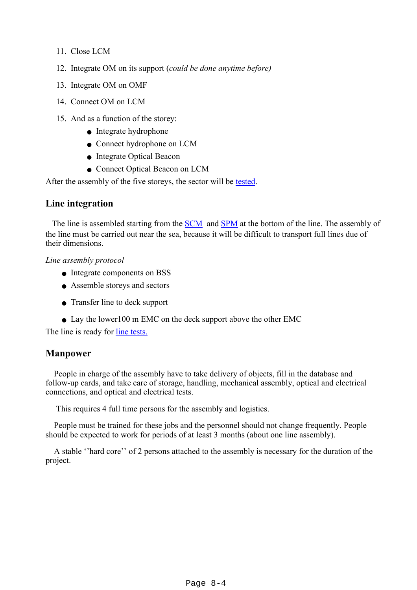- 11. Close LCM
- 12. Integrate OM on its support (*could be done anytime before)*
- 13. Integrate OM on OMF
- 14. Connect OM on LCM
- 15. And as a function of the storey:
	- Integrate hydrophone
	- Connect hydrophone on LCM
	- Integrate Optical Beacon
	- Connect Optical Beacon on LCM

After the assembly of the five storeys, the sector will be [tested](#page-11-0).

#### **Line integration**

The line is assembled starting from the [SCM](file:///Z|/TDR/Olivetto/SCMobjects.html) and [SPM](file:///Z|/TDR/Olivetto/SPMobjects.html) at the bottom of the line. The assembly of the line must be carried out near the sea, because it will be difficult to transport full lines due of their dimensions.

#### *Line assembly protocol*

- Integrate components on BSS
- Assemble storeys and sectors
- Transfer line to deck support
- Lay the lower100 m EMC on the deck support above the other EMC

The line is ready for [line tests.](file:///Z|/TDR/Integration/linetest.html)

### **Manpower**

 People in charge of the assembly have to take delivery of objects, fill in the database and follow-up cards, and take care of storage, handling, mechanical assembly, optical and electrical connections, and optical and electrical tests.

This requires 4 full time persons for the assembly and logistics.

 People must be trained for these jobs and the personnel should not change frequently. People should be expected to work for periods of at least 3 months (about one line assembly).

 A stable ''hard core'' of 2 persons attached to the assembly is necessary for the duration of the project.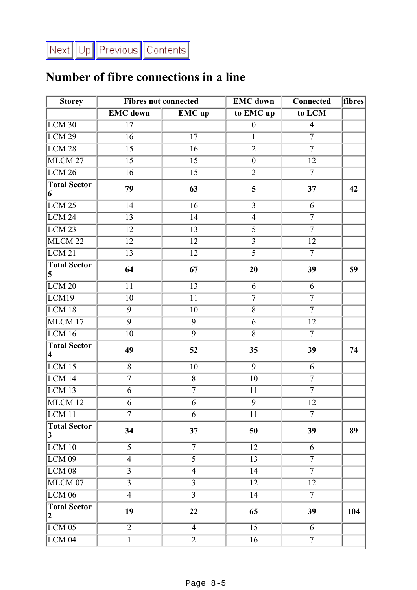# **Number of fibre connections in a line**

| <b>Storey</b>                                  | <b>Fibres not connected</b> |                   | <b>EMC</b> down   | <b>Connected</b>  | fibres |
|------------------------------------------------|-----------------------------|-------------------|-------------------|-------------------|--------|
|                                                | <b>EMC</b> down             | <b>EMC</b> up     | to EMC up         | to LCM            |        |
| LCM <sub>30</sub>                              | 17                          |                   | $\boldsymbol{0}$  | $\overline{4}$    |        |
| LCM <sub>29</sub>                              | $\overline{16}$             | $\overline{17}$   | $\overline{1}$    | $\overline{7}$    |        |
| LCM <sub>28</sub>                              | $\overline{15}$             | 16                | $\overline{2}$    | $\overline{7}$    |        |
| MLCM 27                                        | $\overline{15}$             | $\overline{15}$   | $\overline{0}$    | $\overline{12}$   |        |
| LCM26                                          | $\overline{16}$             | $\overline{15}$   | $\overline{2}$    | $\overline{7}$    |        |
| <b>Total Sector</b><br>6                       | 79                          | 63                | 5                 | 37                | 42     |
| LCM <sub>25</sub>                              | 14                          | $\overline{16}$   | $\overline{3}$    | 6                 |        |
| LCM24                                          | $\overline{13}$             | $\overline{14}$   | $\overline{4}$    | $\overline{\tau}$ |        |
| LCM <sub>23</sub>                              | $\overline{12}$             | $\overline{13}$   | $\overline{5}$    | $\overline{7}$    |        |
| MLCM <sub>22</sub>                             | $\overline{12}$             | 12                | $\overline{3}$    | 12                |        |
| LCM21                                          | $\overline{13}$             | $\overline{12}$   | $\overline{5}$    | $\overline{7}$    |        |
| <b>Total Sector</b><br>5                       | 64                          | 67                | 20                | 39                | 59     |
| LCM20                                          | 11                          | 13                | 6                 | 6                 |        |
| LCM19                                          | 10                          | $\overline{11}$   | $\overline{\tau}$ | $\overline{7}$    |        |
| LCM <sub>18</sub>                              | $\overline{9}$              | $\overline{10}$   | $\overline{8}$    | $\overline{7}$    |        |
| MLCM 17                                        | $\overline{9}$              | $\overline{9}$    | $\overline{6}$    | $\overline{12}$   |        |
| LCM16                                          | 10                          | $\overline{9}$    | $\overline{8}$    | $\overline{7}$    |        |
| <b>Total Sector</b><br>$\overline{\mathbf{4}}$ | 49                          | 52                | 35                | 39                | 74     |
| LCM15                                          | $\overline{8}$              | 10                | $\overline{9}$    | 6                 |        |
| LCM 14                                         | $\overline{7}$              | $\overline{8}$    | 10                | $\overline{7}$    |        |
| $LCM$ 13                                       | 6                           | $\overline{7}$    | $\overline{11}$   | $\overline{7}$    |        |
| MLCM <sub>12</sub>                             | 6                           | $\overline{6}$    | $\overline{9}$    | $\overline{12}$   |        |
| LCM <sub>11</sub>                              | $\tau$                      | 6                 | 11                | $\overline{7}$    |        |
| <b>Total Sector</b><br> 3                      | 34                          | 37                | 50                | 39                | 89     |
| LCM10                                          | $\overline{5}$              | $\overline{\tau}$ | 12                | 6                 |        |
| LCM <sub>09</sub>                              | $\overline{4}$              | $\overline{5}$    | 13                | $\overline{7}$    |        |
| LCM <sub>08</sub>                              | $\overline{3}$              | $\overline{4}$    | 14                | $\overline{7}$    |        |
| MLCM 07                                        | $\overline{3}$              | $\overline{3}$    | 12                | 12                |        |
| <b>LCM 06</b>                                  | $\overline{4}$              | $\overline{3}$    | 14                | $\overline{7}$    |        |
| <b>Total Sector</b><br>$\boldsymbol{2}$        | 19                          | 22                | 65                | 39                | 104    |
| $LCM$ 05                                       | $\overline{2}$              | $\overline{4}$    | $\overline{15}$   | 6                 |        |
| $\overline{LCM04}$                             | $\mathbf{1}$                | $\overline{2}$    | 16                | $\overline{7}$    |        |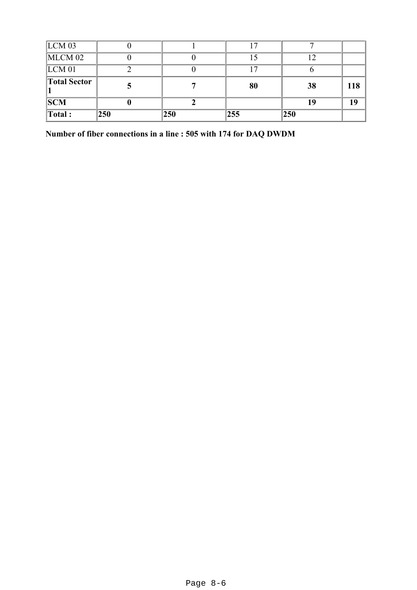| LCM <sub>03</sub>       |     |     | 17  |     |     |
|-------------------------|-----|-----|-----|-----|-----|
| $MLCM$ 02               |     |     |     |     |     |
| LCM <sub>01</sub>       |     |     |     |     |     |
| <b>Total Sector</b>     |     |     | 80  | 38  | 118 |
| <b>SCM</b>              |     |     |     | 19  | 19  |
| $\sqrt{\text{Total}}$ : | 250 | 250 | 255 | 250 |     |

**Number of fiber connections in a line : 505 with 174 for DAQ DWDM**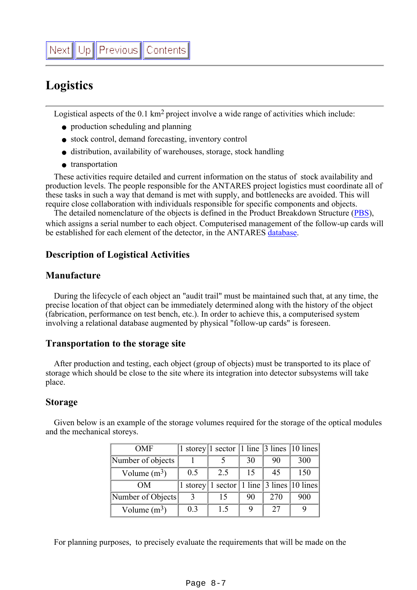# <span id="page-6-0"></span>**Logistics**

Logistical aspects of the 0.1 km2 project involve a wide range of activities which include:

- production scheduling and planning
- stock control, demand forecasting, inventory control
- distribution, availability of warehouses, storage, stock handling
- transportation

 These activities require detailed and current information on the status of stock availability and production levels. The people responsible for the ANTARES project logistics must coordinate all of these tasks in such a way that demand is met with supply, and bottlenecks are avoided. This will require close collaboration with individuals responsible for specific components and objects.

The detailed nomenclature of the objects is defined in the Product Breakdown Structure [\(PBS\)](file:///Z|/TDR/Management/PBS.html), which assigns a serial number to each object. Computerised management of the follow-up cards will be established for each element of the detector, in the ANTARES [database.](file:///Z|/TDR/Management/role_database.html)

# **Description of Logistical Activities**

## **Manufacture**

 During the lifecycle of each object an "audit trail" must be maintained such that, at any time, the precise location of that object can be immediately determined along with the history of the object (fabrication, performance on test bench, etc.). In order to achieve this, a computerised system involving a relational database augmented by physical "follow-up cards" is foreseen.

### **Transportation to the storage site**

 After production and testing, each object (group of objects) must be transported to its place of storage which should be close to the site where its integration into detector subsystems will take place.

### **Storage**

| <b>OMF</b>        |     | 1 storey 1 sector 1 line $\vert$ 3 lines $\vert$ 10 lines |    |     |     |
|-------------------|-----|-----------------------------------------------------------|----|-----|-----|
| Number of objects |     |                                                           | 30 | 90  | 300 |
| Volume $(m^3)$    | 0.5 | 2.5                                                       | 15 | 45  | 150 |
| OМ                |     | 1 storey   1 sector   1 line   3 lines   10 lines         |    |     |     |
| Number of Objects |     | 15                                                        | 90 | 270 | 900 |
| Volume $(m^3)$    | 0.3 | 1.5                                                       | 9  | 27  |     |

 Given below is an example of the storage volumes required for the storage of the optical modules and the mechanical storeys.

For planning purposes, to precisely evaluate the requirements that will be made on the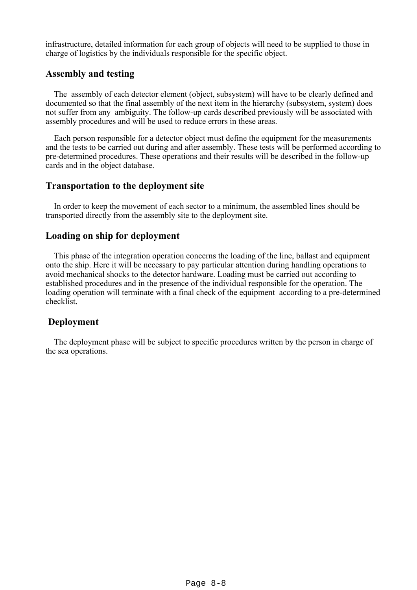infrastructure, detailed information for each group of objects will need to be supplied to those in charge of logistics by the individuals responsible for the specific object.

### **Assembly and testing**

 The assembly of each detector element (object, subsystem) will have to be clearly defined and documented so that the final assembly of the next item in the hierarchy (subsystem, system) does not suffer from any ambiguity. The follow-up cards described previously will be associated with assembly procedures and will be used to reduce errors in these areas.

 Each person responsible for a detector object must define the equipment for the measurements and the tests to be carried out during and after assembly. These tests will be performed according to pre-determined procedures. These operations and their results will be described in the follow-up cards and in the object database.

### **Transportation to the deployment site**

 In order to keep the movement of each sector to a minimum, the assembled lines should be transported directly from the assembly site to the deployment site.

## **Loading on ship for deployment**

 This phase of the integration operation concerns the loading of the line, ballast and equipment onto the ship. Here it will be necessary to pay particular attention during handling operations to avoid mechanical shocks to the detector hardware. Loading must be carried out according to established procedures and in the presence of the individual responsible for the operation. The loading operation will terminate with a final check of the equipment according to a pre-determined checklist.

# **Deployment**

 The deployment phase will be subject to specific procedures written by the person in charge of the sea operations.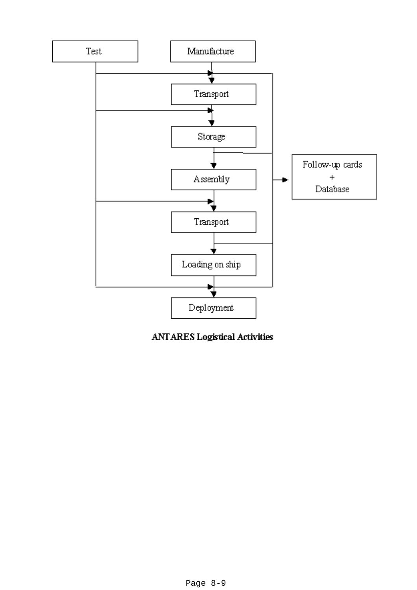

**ANTARES Logistical Activities**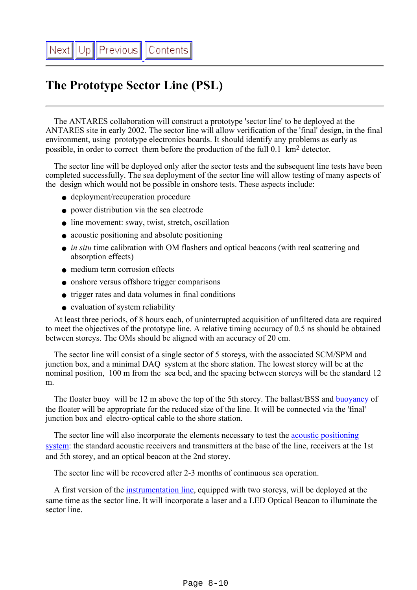# <span id="page-9-0"></span>**The Prototype Sector Line (PSL)**

 The ANTARES collaboration will construct a prototype 'sector line' to be deployed at the ANTARES site in early 2002. The sector line will allow verification of the 'final' design, in the final environment, using prototype electronics boards. It should identify any problems as early as possible, in order to correct them before the production of the full 0.1 km2 detector.

 The sector line will be deployed only after the sector tests and the subsequent line tests have been completed successfully. The sea deployment of the sector line will allow testing of many aspects of the design which would not be possible in onshore tests. These aspects include:

- deployment/recuperation procedure
- power distribution via the sea electrode
- line movement: sway, twist, stretch, oscillation
- acoustic positioning and absolute positioning
- *in situ* time calibration with OM flashers and optical beacons (with real scattering and absorption effects)
- medium term corrosion effects
- onshore versus offshore trigger comparisons
- trigger rates and data volumes in final conditions
- evaluation of system reliability

 At least three periods, of 8 hours each, of uninterrupted acquisition of unfiltered data are required to meet the objectives of the prototype line. A relative timing accuracy of 0.5 ns should be obtained between storeys. The OMs should be aligned with an accuracy of 20 cm.

 The sector line will consist of a single sector of 5 storeys, with the associated SCM/SPM and junction box, and a minimal DAQ system at the shore station. The lowest storey will be at the nominal position, 100 m from the sea bed, and the spacing between storeys will be the standard 12 m.

The floater buoy will be 12 m above the top of the 5th storey. The ballast/BSS and [buoyancy](file:///Z|/TDR/Jaquet/buoy.htm) of the floater will be appropriate for the reduced size of the line. It will be connected via the 'final' junction box and electro-optical cable to the shore station.

 The sector line will also incorporate the elements necessary to test the [acoustic positioning](file:///Z|/TDR/Bertin/Absolute_positioning.html) [system](file:///Z|/TDR/Bertin/Absolute_positioning.html): the standard acoustic receivers and transmitters at the base of the line, receivers at the 1st and 5th storey, and an optical beacon at the 2nd storey.

The sector line will be recovered after 2-3 months of continuous sea operation.

 A first version of the [instrumentation line](file:///Z|/TDR/Bertin/Instrumentation_Line.html), equipped with two storeys, will be deployed at the same time as the sector line. It will incorporate a laser and a LED Optical Beacon to illuminate the sector line.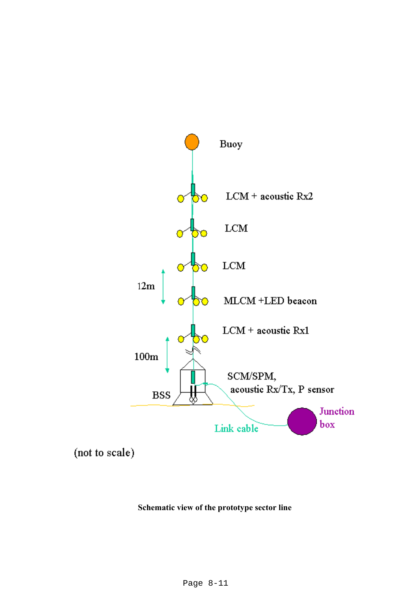

(not to scale)

#### **Schematic view of the prototype sector line**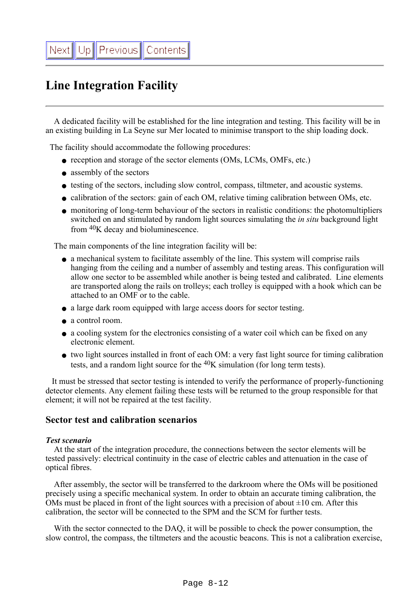# <span id="page-11-0"></span>**Line Integration Facility**

 A dedicated facility will be established for the line integration and testing. This facility will be in an existing building in La Seyne sur Mer located to minimise transport to the ship loading dock.

The facility should accommodate the following procedures:

- reception and storage of the sector elements (OMs, LCMs, OMFs, etc.)
- assembly of the sectors
- testing of the sectors, including slow control, compass, tiltmeter, and acoustic systems.
- calibration of the sectors: gain of each OM, relative timing calibration between OMs, etc.
- monitoring of long-term behaviour of the sectors in realistic conditions: the photomultipliers switched on and stimulated by random light sources simulating the *in situ* background light from 40K decay and bioluminescence.

The main components of the line integration facility will be:

- a mechanical system to facilitate assembly of the line. This system will comprise rails hanging from the ceiling and a number of assembly and testing areas. This configuration will allow one sector to be assembled while another is being tested and calibrated. Line elements are transported along the rails on trolleys; each trolley is equipped with a hook which can be attached to an OMF or to the cable.
- a large dark room equipped with large access doors for sector testing.
- a control room.
- a cooling system for the electronics consisting of a water coil which can be fixed on any electronic element.
- two light sources installed in front of each OM: a very fast light source for timing calibration tests, and a random light source for the  $40K$  simulation (for long term tests).

 It must be stressed that sector testing is intended to verify the performance of properly-functioning detector elements. Any element failing these tests will be returned to the group responsible for that element; it will not be repaired at the test facility.

#### **Sector test and calibration scenarios**

#### *Test scenario*

 At the start of the integration procedure, the connections between the sector elements will be tested passively: electrical continuity in the case of electric cables and attenuation in the case of optical fibres.

 After assembly, the sector will be transferred to the darkroom where the OMs will be positioned precisely using a specific mechanical system. In order to obtain an accurate timing calibration, the OMs must be placed in front of the light sources with a precision of about  $\pm 10$  cm. After this calibration, the sector will be connected to the SPM and the SCM for further tests.

 With the sector connected to the DAQ, it will be possible to check the power consumption, the slow control, the compass, the tiltmeters and the acoustic beacons. This is not a calibration exercise,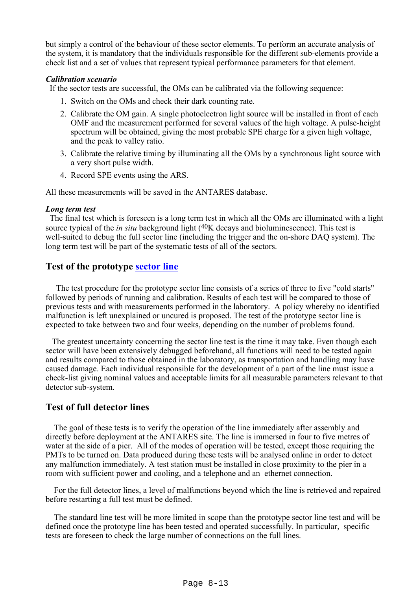but simply a control of the behaviour of these sector elements. To perform an accurate analysis of the system, it is mandatory that the individuals responsible for the different sub-elements provide a check list and a set of values that represent typical performance parameters for that element.

#### *Calibration scenario*

If the sector tests are successful, the OMs can be calibrated via the following sequence:

- 1. Switch on the OMs and check their dark counting rate.
- 2. Calibrate the OM gain. A single photoelectron light source will be installed in front of each OMF and the measurement performed for several values of the high voltage. A pulse-height spectrum will be obtained, giving the most probable SPE charge for a given high voltage, and the peak to valley ratio.
- Calibrate the relative timing by illuminating all the OMs by a synchronous light source with 3. a very short pulse width.
- 4. Record SPE events using the ARS.

All these measurements will be saved in the ANTARES database.

#### *Long term test*

 The final test which is foreseen is a long term test in which all the OMs are illuminated with a light source typical of the *in situ* background light (<sup>40</sup>K decays and bioluminescence). This test is well-suited to debug the full sector line (including the trigger and the on-shore DAQ system). The long term test will be part of the systematic tests of all of the sectors.

### **Test of the prototype [sector line](#page-9-0)**

 The test procedure for the prototype sector line consists of a series of three to five "cold starts" followed by periods of running and calibration. Results of each test will be compared to those of previous tests and with measurements performed in the laboratory. A policy whereby no identified malfunction is left unexplained or uncured is proposed. The test of the prototype sector line is expected to take between two and four weeks, depending on the number of problems found.

 The greatest uncertainty concerning the sector line test is the time it may take. Even though each sector will have been extensively debugged beforehand, all functions will need to be tested again and results compared to those obtained in the laboratory, as transportation and handling may have caused damage. Each individual responsible for the development of a part of the line must issue a check-list giving nominal values and acceptable limits for all measurable parameters relevant to that detector sub-system.

#### **Test of full detector lines**

 The goal of these tests is to verify the operation of the line immediately after assembly and directly before deployment at the ANTARES site. The line is immersed in four to five metres of water at the side of a pier. All of the modes of operation will be tested, except those requiring the PMTs to be turned on. Data produced during these tests will be analysed online in order to detect any malfunction immediately. A test station must be installed in close proximity to the pier in a room with sufficient power and cooling, and a telephone and an ethernet connection.

 For the full detector lines, a level of malfunctions beyond which the line is retrieved and repaired before restarting a full test must be defined.

 The standard line test will be more limited in scope than the prototype sector line test and will be defined once the prototype line has been tested and operated successfully. In particular, specific tests are foreseen to check the large number of connections on the full lines.